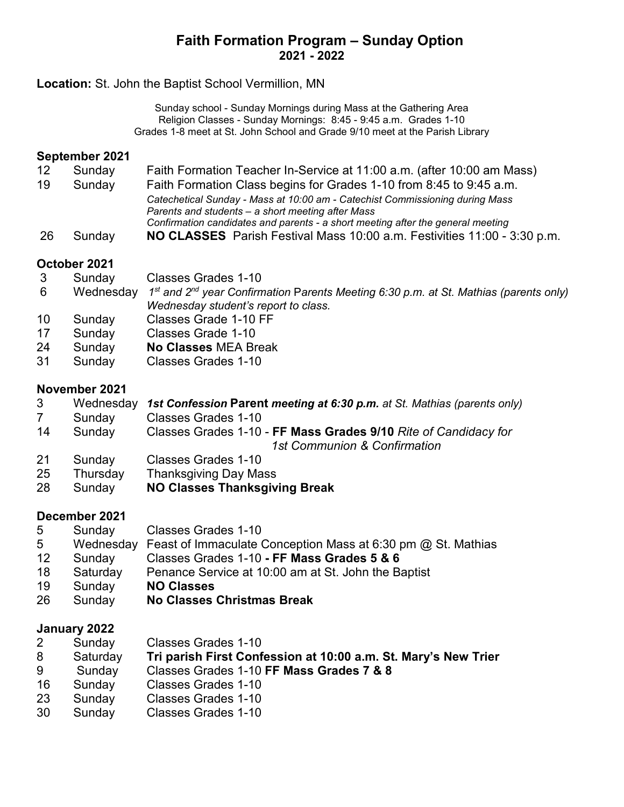# **Faith Formation Program – Sunday Option 2021 - 2022**

### **Location:** St. John the Baptist School Vermillion, MN

Sunday school - Sunday Mornings during Mass at the Gathering Area Religion Classes - Sunday Mornings: 8:45 - 9:45 a.m. Grades 1-10 Grades 1-8 meet at St. John School and Grade 9/10 meet at the Parish Library

#### **September 2021**

- Sunday Faith Formation Teacher In-Service at 11:00 a.m. (after 10:00 am Mass)
- Sunday Faith Formation Class begins for Grades 1-10 from 8:45 to 9:45 a.m. *Catechetical Sunday - Mass at 10:00 am - Catechist Commissioning during Mass Parents and students – a short meeting after Mass Confirmation candidates and parents - a short meeting after the general meeting*
- Sunday **NO CLASSES** Parish Festival Mass 10:00 a.m. Festivities 11:00 3:30 p.m.

### **October 2021**

- Sunday Classes Grades 1-10
- Wednesday *1st and 2nd year Confirmation* P*arents Meeting 6:30 p.m. at St. Mathias (parents only) Wednesday student's report to class.*
- Sunday Classes Grade 1-10 FF
- Sunday Classes Grade 1-10
- Sunday **No Classes** MEA Break
- Sunday Classes Grades 1-10

#### **November 2021**

- Wednesday *1st Confession* **Parent** *meeting at 6:30 p.m. at St. Mathias (parents only)*
- Sunday Classes Grades 1-10
- Sunday Classes Grades 1-10 **FF Mass Grades 9/10** *Rite of Candidacy for 1st Communion & Confirmation*
- Sunday Classes Grades 1-10
- Thursday Thanksgiving Day Mass
- Sunday **NO Classes Thanksgiving Break**

### **December 2021**

- Sunday Classes Grades 1-10
- Wednesday Feast of Immaculate Conception Mass at 6:30 pm @ St. Mathias
- Sunday Classes Grades 1-10 **- FF Mass Grades 5 & 6**
- Saturday Penance Service at 10:00 am at St. John the Baptist
- Sunday **NO Classes**
- Sunday **No Classes Christmas Break**

### **January 2022**

- Sunday Classes Grades 1-10
- Saturday **Tri parish First Confession at 10:00 a.m. St. Mary's New Trier**
- Sunday Classes Grades 1-10 **FF Mass Grades 7 & 8**
- Sunday Classes Grades 1-10
- Sunday Classes Grades 1-10
- Sunday Classes Grades 1-10